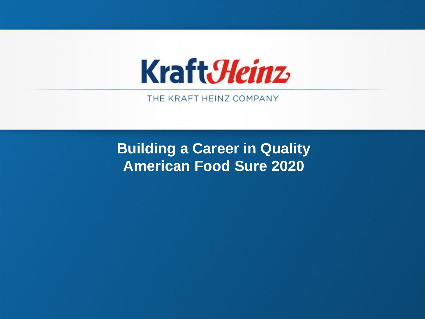

THE KRAFT HEINZ COMPANY

**Building a Career in Quality American Food Sure 2020**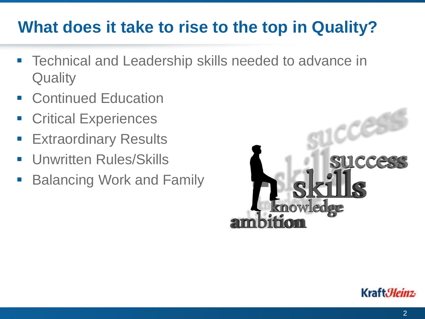### **What does it take to rise to the top in Quality?**

- Technical and Leadership skills needed to advance in **Quality**
- **Continued Education**
- **Critical Experiences**
- **Extraordinary Results**
- Unwritten Rules/Skills
- **Balancing Work and Family**



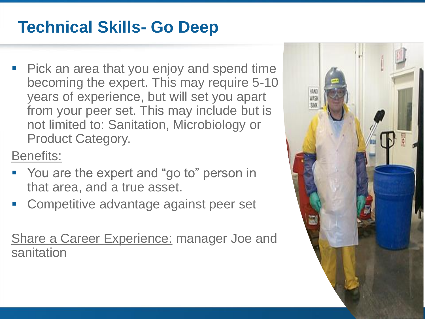### **Technical Skills- Go Deep**

■ Pick an area that you enjoy and spend time becoming the expert. This may require 5-10 years of experience, but will set you apart from your peer set. This may include but is not limited to: Sanitation, Microbiology or Product Category.

Benefits:

- You are the expert and "go to" person in that area, and a true asset.
- Competitive advantage against peer set

Share a Career Experience: manager Joe and sanitation

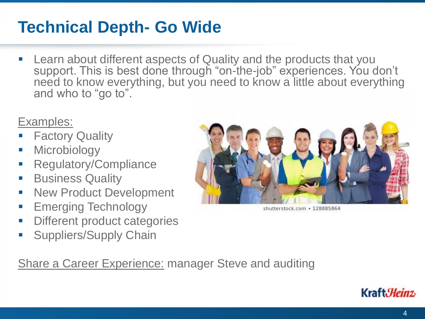#### **Technical Depth- Go Wide**

**EXTERN** Learn about different aspects of Quality and the products that you support. This is best done through "on-the-job" experiences. You don't need to know everything, but you need to know a little about everything and who to "go to".

#### Examples:

- **Factory Quality**
- **■** Microbiology
- Regulatory/Compliance
- **Business Quality**
- **E** New Product Development
- **Emerging Technology**
- **EXECUTE: Different product categories**
- **E** Suppliers/Supply Chain



shutterstock.com · 128885864

Share a Career Experience: manager Steve and auditing

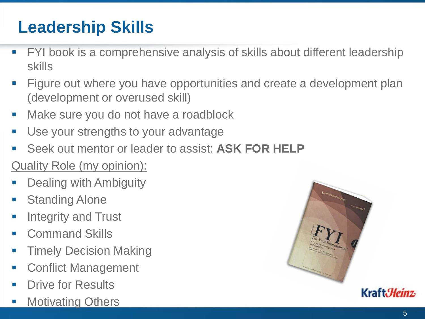# **Leadership Skills**

- **FYI book is a comprehensive analysis of skills about different leadership** skills
- Figure out where you have opportunities and create a development plan (development or overused skill)
- Make sure you do not have a roadblock
- Use your strengths to your advantage
- Seek out mentor or leader to assist: **ASK FOR HELP**

#### Quality Role (my opinion):

- **Dealing with Ambiguity**
- Standing Alone
- Integrity and Trust
- **Command Skills**
- **Timely Decision Making**
- Conflict Management
- **Drive for Results**
- Motivating Others

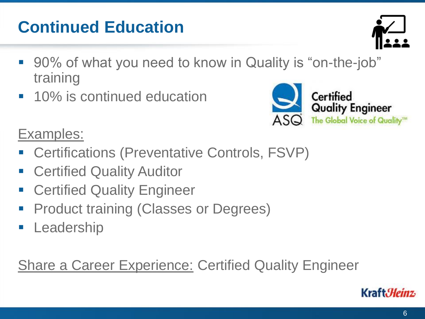Kraft*Heinz* 

# **Continued Education**

- 90% of what you need to know in Quality is "on-the-job" training
- 10% is continued education
- Examples:
- Certifications (Preventative Controls, FSVP)
- Certified Quality Auditor
- **Example 2** Certified Quality Engineer
- **Product training (Classes or Degrees)**
- **E** Leadership

Share a Career Experience: Certified Quality Engineer



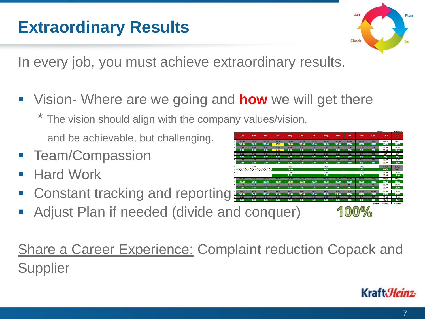7

Kraft*Heinz* 

In every job, you must achieve extraordinary results.

▪ Vision- Where are we going and **how** we will get there

\* The vision should align with the company values/vision,

and be achievable, but challenging.

- **E** Team/Compassion
- **Hard Work**
- Constant tracking and reporting
- Adjust Plan if needed (divide and conquer)

**Share a Career Experience: Complaint reduction Copack and Supplier** 



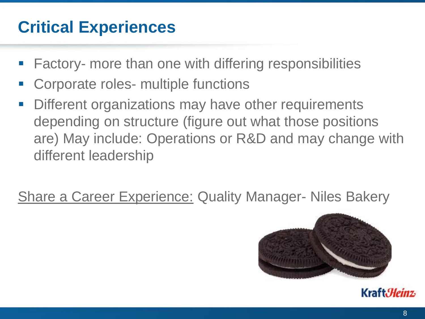### **Critical Experiences**

- Factory- more than one with differing responsibilities
- Corporate roles- multiple functions
- **Different organizations may have other requirements** depending on structure (figure out what those positions are) May include: Operations or R&D and may change with different leadership

Share a Career Experience: Quality Manager- Niles Bakery



Kraft.*Heinz*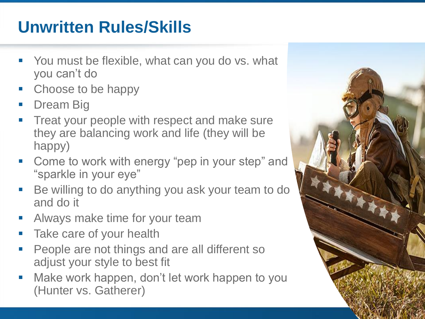## **Unwritten Rules/Skills**

- You must be flexible, what can you do vs. what you can't do
- Choose to be happy
- Dream Big
- **Treat your people with respect and make sure** they are balancing work and life (they will be happy)
- Come to work with energy "pep in your step" and "sparkle in your eye"
- Be willing to do anything you ask your team to do and do it
- **E** Always make time for your team
- **Take care of your health**
- People are not things and are all different so adjust your style to best fit
- Make work happen, don't let work happen to you (Hunter vs. Gatherer)

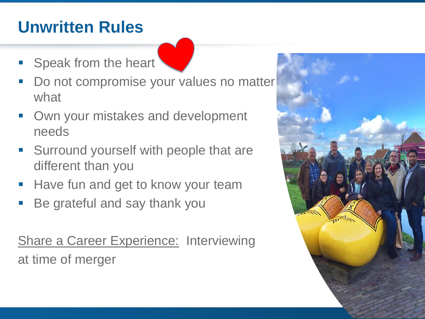## **Unwritten Rules**

- **Example 3 Speak from the heart**
- Do not compromise your values no matter what
- Own your mistakes and development needs
- Surround yourself with people that are different than you
- Have fun and get to know your team
- Be grateful and say thank you

**Share a Career Experience: Interviewing** at time of merger

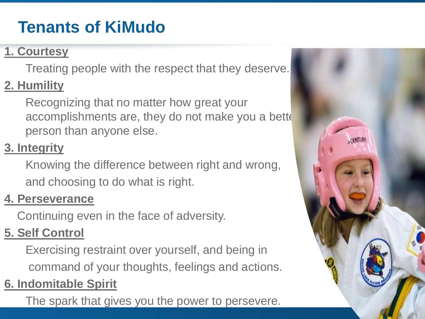# **Tenants of KiMudo**

#### **1. Courtesy**

Treating people with the respect that they deserve.

#### **2. Humility**

Recognizing that no matter how great your accomplishments are, they do not make you a bette person than anyone else.

#### **3. Integrity**

Knowing the difference between right and wrong, and choosing to do what is right.

#### **4. Perseverance**

Continuing even in the face of adversity.

#### **5. Self Control**

Exercising restraint over yourself, and being in command of your thoughts, feelings and actions.

#### **6. Indomitable Spirit**

The spark that gives you the power to persevere.